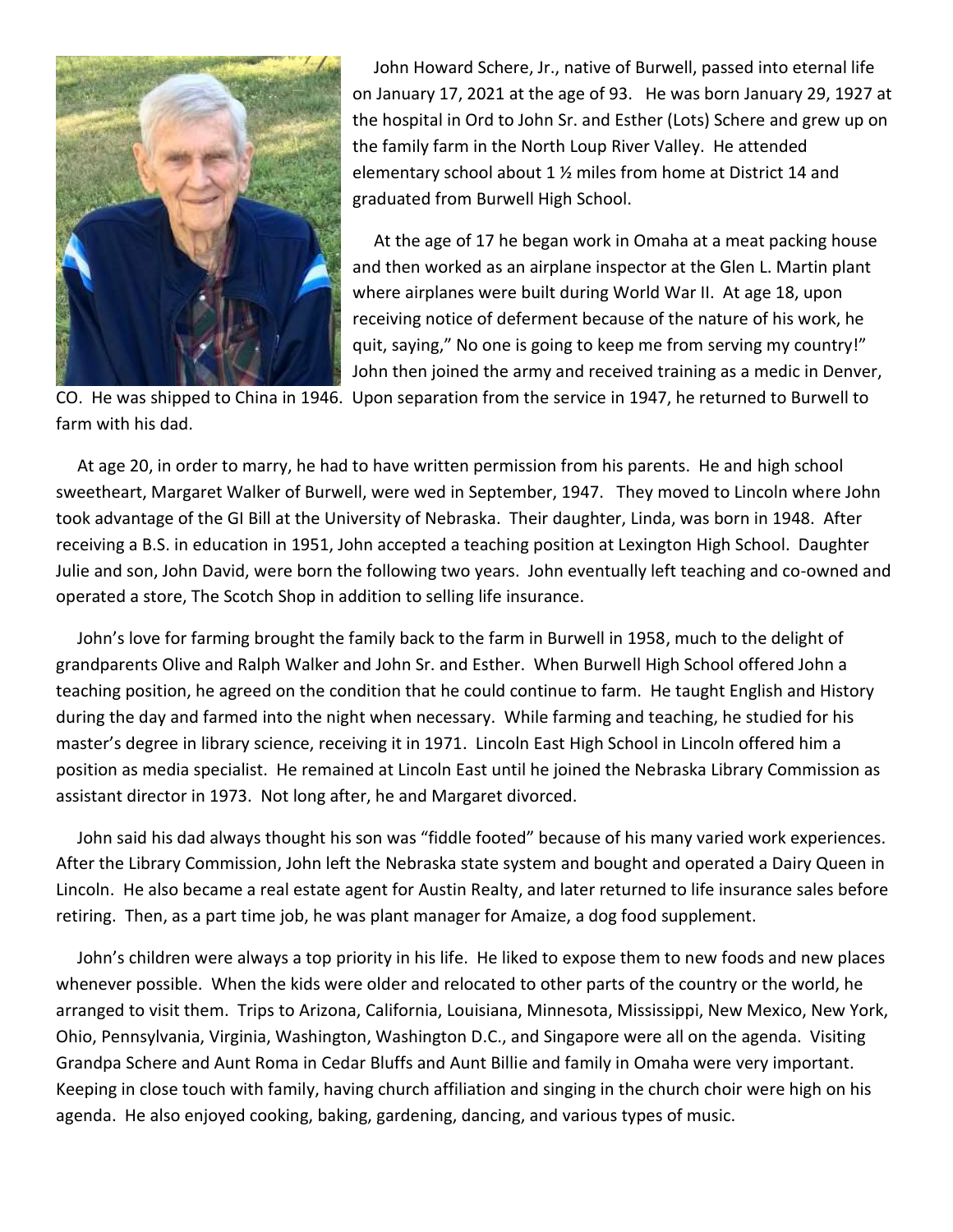

 John Howard Schere, Jr., native of Burwell, passed into eternal life on January 17, 2021 at the age of 93. He was born January 29, 1927 at the hospital in Ord to John Sr. and Esther (Lots) Schere and grew up on the family farm in the North Loup River Valley. He attended elementary school about 1 ½ miles from home at District 14 and graduated from Burwell High School.

 At the age of 17 he began work in Omaha at a meat packing house and then worked as an airplane inspector at the Glen L. Martin plant where airplanes were built during World War II. At age 18, upon receiving notice of deferment because of the nature of his work, he quit, saying," No one is going to keep me from serving my country!" John then joined the army and received training as a medic in Denver,

CO. He was shipped to China in 1946. Upon separation from the service in 1947, he returned to Burwell to farm with his dad.

 At age 20, in order to marry, he had to have written permission from his parents. He and high school sweetheart, Margaret Walker of Burwell, were wed in September, 1947. They moved to Lincoln where John took advantage of the GI Bill at the University of Nebraska. Their daughter, Linda, was born in 1948. After receiving a B.S. in education in 1951, John accepted a teaching position at Lexington High School. Daughter Julie and son, John David, were born the following two years. John eventually left teaching and co-owned and operated a store, The Scotch Shop in addition to selling life insurance.

 John's love for farming brought the family back to the farm in Burwell in 1958, much to the delight of grandparents Olive and Ralph Walker and John Sr. and Esther. When Burwell High School offered John a teaching position, he agreed on the condition that he could continue to farm. He taught English and History during the day and farmed into the night when necessary. While farming and teaching, he studied for his master's degree in library science, receiving it in 1971. Lincoln East High School in Lincoln offered him a position as media specialist. He remained at Lincoln East until he joined the Nebraska Library Commission as assistant director in 1973. Not long after, he and Margaret divorced.

 John said his dad always thought his son was "fiddle footed" because of his many varied work experiences. After the Library Commission, John left the Nebraska state system and bought and operated a Dairy Queen in Lincoln. He also became a real estate agent for Austin Realty, and later returned to life insurance sales before retiring. Then, as a part time job, he was plant manager for Amaize, a dog food supplement.

 John's children were always a top priority in his life. He liked to expose them to new foods and new places whenever possible. When the kids were older and relocated to other parts of the country or the world, he arranged to visit them. Trips to Arizona, California, Louisiana, Minnesota, Mississippi, New Mexico, New York, Ohio, Pennsylvania, Virginia, Washington, Washington D.C., and Singapore were all on the agenda. Visiting Grandpa Schere and Aunt Roma in Cedar Bluffs and Aunt Billie and family in Omaha were very important. Keeping in close touch with family, having church affiliation and singing in the church choir were high on his agenda. He also enjoyed cooking, baking, gardening, dancing, and various types of music.